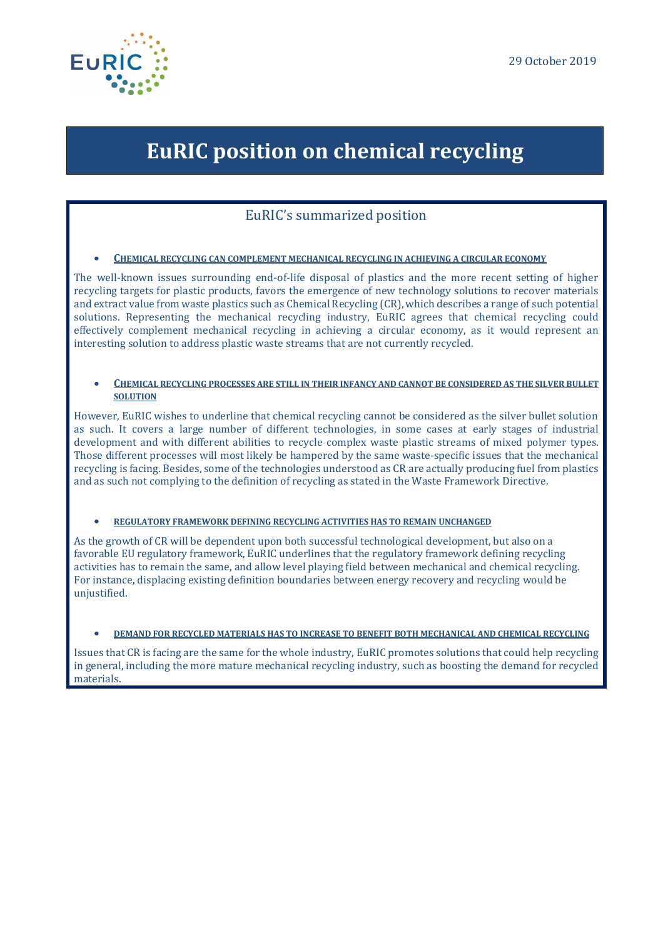

# **EuRIC position on chemical recycling**

### EuRIC's summarized position

#### • **CHEMICAL RECYCLING CAN COMPLEMENT MECHANICAL RECYCLING IN ACHIEVING A CIRCULAR ECONOMY**

The well-known issues surrounding end-of-life disposal of plastics and the more recent setting of higher recycling targets for plastic products, favors the emergence of new technology solutions to recover materials and extract value from waste plastics such as Chemical Recycling (CR), which describes a range of such potential solutions. Representing the mechanical recycling industry, EuRIC agrees that chemical recycling could effectively complement mechanical recycling in achieving a circular economy, as it would represent an interesting solution to address plastic waste streams that are not currently recycled.

#### • **CHEMICAL RECYCLING PROCESSES ARE STILL IN THEIR INFANCY AND CANNOT BE CONSIDERED AS THE SILVER BULLET SOLUTION**

However, EuRIC wishes to underline that chemical recycling cannot be considered as the silver bullet solution as such. It covers a large number of different technologies, in some cases at early stages of industrial development and with different abilities to recycle complex waste plastic streams of mixed polymer types. Those different processes will most likely be hampered by the same waste-specific issues that the mechanical recycling is facing. Besides, some of the technologies understood as CR are actually producing fuel from plastics and as such not complying to the definition of recycling as stated in the Waste Framework Directive.

#### • **REGULATORY FRAMEWORK DEFINING RECYCLING ACTIVITIES HAS TO REMAIN UNCHANGED**

As the growth of CR will be dependent upon both successful technological development, but also on a favorable EU regulatory framework, EuRIC underlines that the regulatory framework defining recycling activities has to remain the same, and allow level playing field between mechanical and chemical recycling. For instance, displacing existing definition boundaries between energy recovery and recycling would be unjustified.

#### • **DEMAND FOR RECYCLED MATERIALS HAS TO INCREASE TO BENEFIT BOTH MECHANICAL AND CHEMICAL RECYCLING**

Issues that CR is facing are the same for the whole industry, EuRIC promotes solutions that could help recycling in general, including the more mature mechanical recycling industry, such as boosting the demand for recycled materials.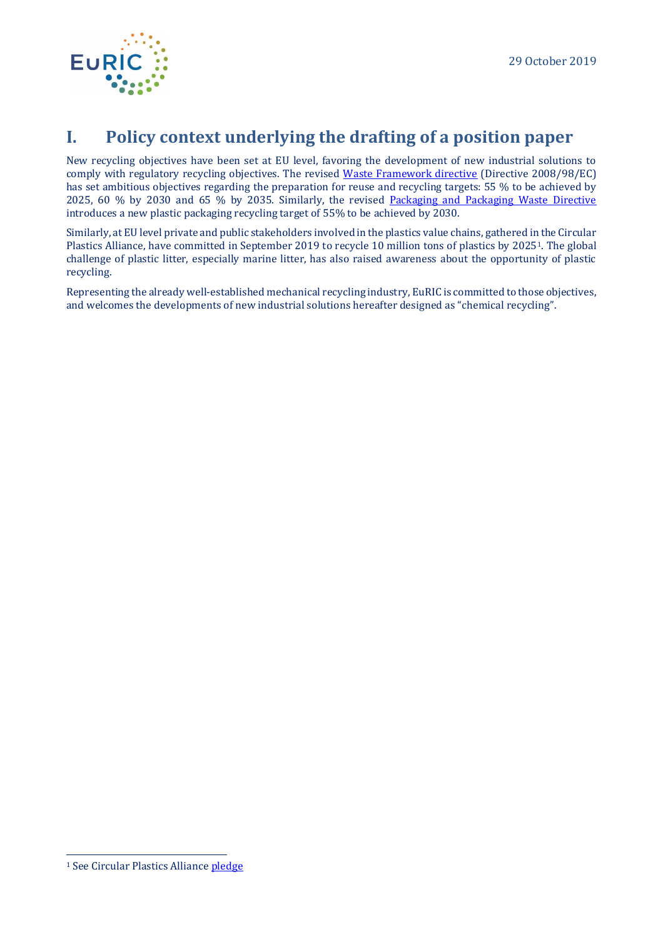

## **I. Policy context underlying the drafting of a position paper**

New recycling objectives have been set at EU level, favoring the development of new industrial solutions to comply with regulatory recycling objectives. The revised [Waste Framework directive](https://eur-lex.europa.eu/legal-content/EN/TXT/PDF/?uri=CELEX:32018L0851&from=EN) (Directive 2008/98/EC) has set ambitious objectives regarding the preparation for reuse and recycling targets: 55 % to be achieved by 2025, 60 % by 2030 and 65 % by 2035. Similarly, the revised [Packaging and Packaging Waste Directive](https://eur-lex.europa.eu/legal-content/EN/TXT/PDF/?uri=CELEX:32018L0852&from=EN) introduces a new plastic packaging recycling target of 55% to be achieved by 2030.

Similarly, at EU level private and public stakeholders involved in the plastics value chains, gathered in the Circular Plastics Alliance, have committed in September 2019 to recycle 10 million tons of plastics by 20251. The global challenge of plastic litter, especially marine litter, has also raised awareness about the opportunity of plastic recycling.

Representing the already well-established mechanical recycling industry, EuRIC is committed to those objectives, and welcomes the developments of new industrial solutions hereafter designed as "chemical recycling".

<sup>&</sup>lt;sup>1</sup> See Circular Plastics Allianc[e pledge](https://ec.europa.eu/docsroom/documents/36361)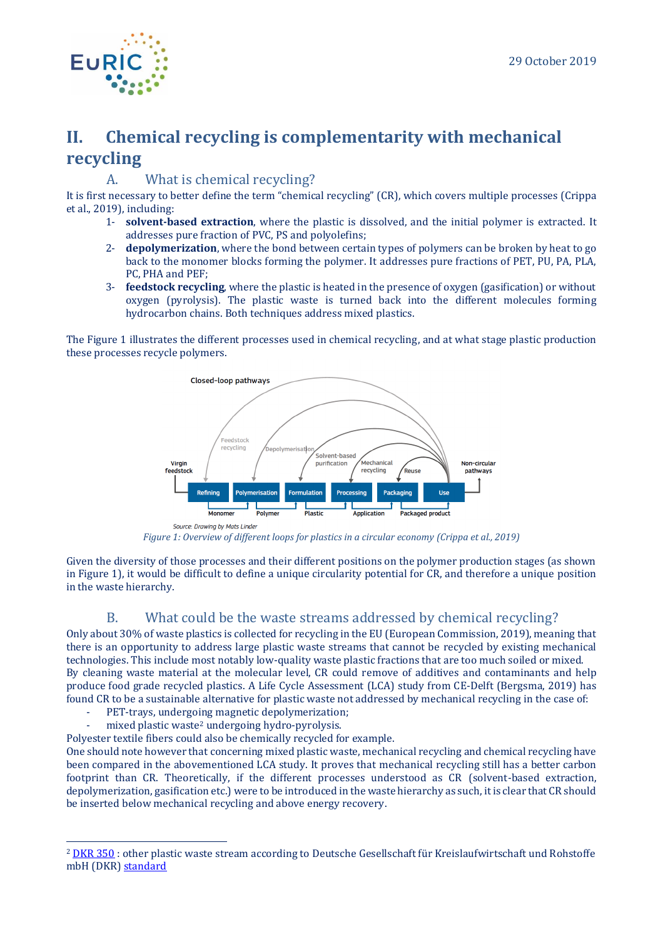

# **II. Chemical recycling is complementarity with mechanical recycling**

### A. What is chemical recycling?

It is first necessary to better define the term "chemical recycling" (CR), which covers multiple processes (Crippa et al., 2019), including:

- 1- **solvent-based extraction**, where the plastic is dissolved, and the initial polymer is extracted. It addresses pure fraction of PVC, PS and polyolefins;
- 2- **depolymerization**, where the bond between certain types of polymers can be broken by heat to go back to the monomer blocks forming the polymer. It addresses pure fractions of PET, PU, PA, PLA, PC, PHA and PEF;
- 3- **feedstock recycling**, where the plastic is heated in the presence of oxygen (gasification) or without oxygen (pyrolysis). The plastic waste is turned back into the different molecules forming hydrocarbon chains. Both techniques address mixed plastics.

The [Figure 1](#page-2-0) illustrates the different processes used in chemical recycling, and at what stage plastic production these processes recycle polymers.



*Figure 1: Overview of different loops for plastics in a circular economy (Crippa et al., 2019)*

<span id="page-2-0"></span>Given the diversity of those processes and their different positions on the polymer production stages (as shown in [Figure 1\)](#page-2-0), it would be difficult to define a unique circularity potential for CR, and therefore a unique position in the waste hierarchy.

### B. What could be the waste streams addressed by chemical recycling?

Only about 30% of waste plastics is collected for recycling in the EU (European Commission, 2019), meaning that there is an opportunity to address large plastic waste streams that cannot be recycled by existing mechanical technologies. This include most notably low-quality waste plastic fractions that are too much soiled or mixed. By cleaning waste material at the molecular level, CR could remove of additives and contaminants and help produce food grade recycled plastics. A Life Cycle Assessment (LCA) study from CE-Delft (Bergsma, 2019) has found CR to be a sustainable alternative for plastic waste not addressed by mechanical recycling in the case of:

- PET-trays, undergoing magnetic depolymerization;
- mixed plastic waste<sup>2</sup> undergoing hydro-pyrolysis.
- Polyester textile fibers could also be chemically recycled for example.

One should note however that concerning mixed plastic waste, mechanical recycling and chemical recycling have been compared in the abovementioned LCA study. It proves that mechanical recycling still has a better carbon footprint than CR. Theoretically, if the different processes understood as CR (solvent-based extraction, depolymerization, gasification etc.) were to be introduced in the waste hierarchy as such, it is clear that CR should be inserted below mechanical recycling and above energy recovery.

<sup>&</sup>lt;sup>2</sup> [DKR 350](https://www.nedvang.nl/wp-content/uploads/2019/03/Mix-kunststoffen-DKR-350.pdf) : other plastic waste stream according to Deutsche Gesellschaft für Kreislaufwirtschaft und Rohstoffe mbH (DKR) [standard](https://www.nedvang.nl/wp-content/uploads/2019/03/Mix-kunststoffen-DKR-350.pdf)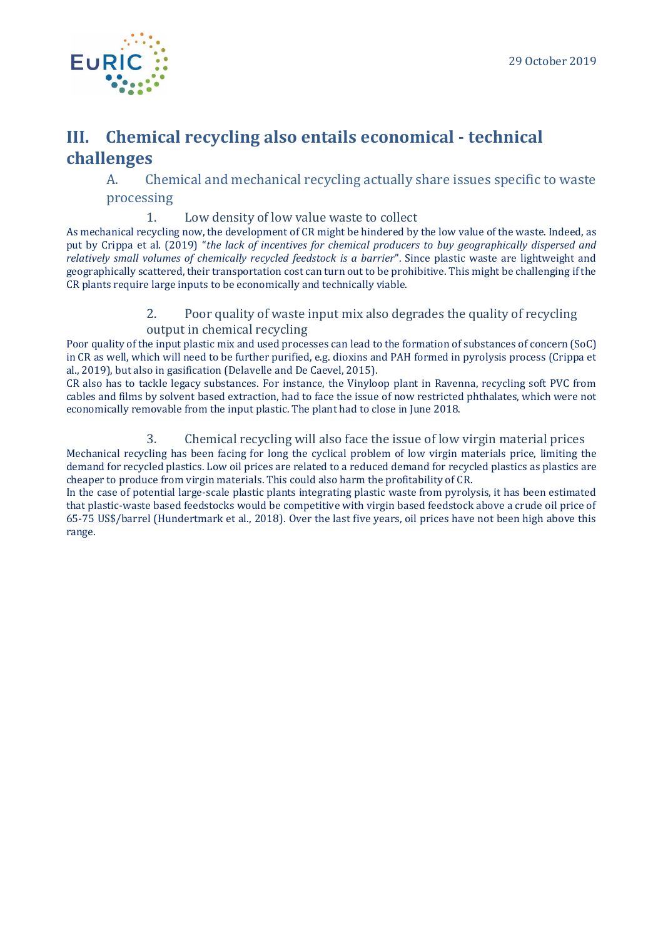## **III. Chemical recycling also entails economical - technical challenges**

A. Chemical and mechanical recycling actually share issues specific to waste processing

### 1. Low density of low value waste to collect

As mechanical recycling now, the development of CR might be hindered by the low value of the waste. Indeed, as put by Crippa et al. (2019) "*the lack of incentives for chemical producers to buy geographically dispersed and relatively small volumes of chemically recycled feedstock is a barrier*". Since plastic waste are lightweight and geographically scattered, their transportation cost can turn out to be prohibitive. This might be challenging if the CR plants require large inputs to be economically and technically viable.

### 2. Poor quality of waste input mix also degrades the quality of recycling output in chemical recycling

Poor quality of the input plastic mix and used processes can lead to the formation of substances of concern (SoC) in CR as well, which will need to be further purified, e.g. dioxins and PAH formed in pyrolysis process (Crippa et al., 2019), but also in gasification (Delavelle and De Caevel, 2015).

CR also has to tackle legacy substances. For instance, the Vinyloop plant in Ravenna, recycling soft PVC from cables and films by solvent based extraction, had to face the issue of now restricted phthalates, which were not economically removable from the input plastic. The plant had to close in June 2018.

### 3. Chemical recycling will also face the issue of low virgin material prices

Mechanical recycling has been facing for long the cyclical problem of low virgin materials price, limiting the demand for recycled plastics. Low oil prices are related to a reduced demand for recycled plastics as plastics are cheaper to produce from virgin materials. This could also harm the profitability of CR.

In the case of potential large-scale plastic plants integrating plastic waste from pyrolysis, it has been estimated that plastic-waste based feedstocks would be competitive with virgin based feedstock above a crude oil price of 65-75 US\$/barrel (Hundertmark et al., 2018). Over the last five years, oil prices have not been high above this range.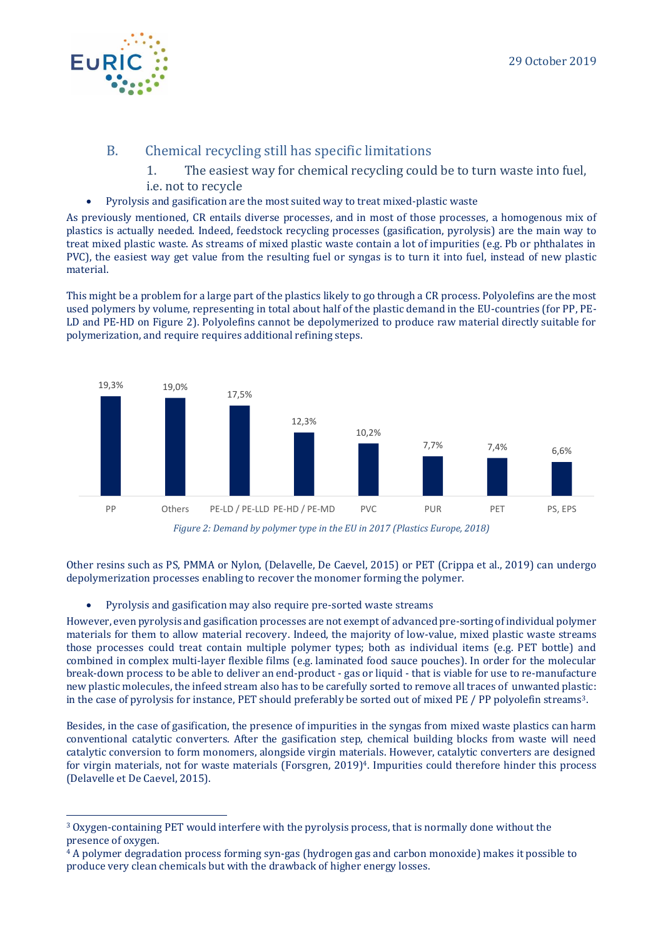

- B. Chemical recycling still has specific limitations
	- 1. The easiest way for chemical recycling could be to turn waste into fuel, i.e. not to recycle
- Pyrolysis and gasification are the most suited way to treat mixed-plastic waste

As previously mentioned, CR entails diverse processes, and in most of those processes, a homogenous mix of plastics is actually needed. Indeed, feedstock recycling processes (gasification, pyrolysis) are the main way to treat mixed plastic waste. As streams of mixed plastic waste contain a lot of impurities (e.g. Pb or phthalates in PVC), the easiest way get value from the resulting fuel or syngas is to turn it into fuel, instead of new plastic material.

This might be a problem for a large part of the plastics likely to go through a CR process. Polyolefins are the most used polymers by volume, representing in total about half of the plastic demand in the EU-countries (for PP, PE-LD and PE-HD on [Figure 2\)](#page-4-0). Polyolefins cannot be depolymerized to produce raw material directly suitable for polymerization, and require requires additional refining steps.



<span id="page-4-0"></span>Other resins such as PS, PMMA or Nylon, (Delavelle, De Caevel, 2015) or PET (Crippa et al., 2019) can undergo depolymerization processes enabling to recover the monomer forming the polymer.

• Pyrolysis and gasification may also require pre-sorted waste streams

However, even pyrolysis and gasification processes are not exempt of advanced pre-sorting of individual polymer materials for them to allow material recovery. Indeed, the majority of low-value, mixed plastic waste streams those processes could treat contain multiple polymer types; both as individual items (e.g. PET bottle) and combined in complex multi-layer flexible films (e.g. laminated food sauce pouches). In order for the molecular break-down process to be able to deliver an end-product - gas or liquid - that is viable for use to re-manufacture new plastic molecules, the infeed stream also has to be carefully sorted to remove all traces of unwanted plastic: in the case of pyrolysis for instance, PET should preferably be sorted out of mixed PE / PP polyolefin streams3.

Besides, in the case of gasification, the presence of impurities in the syngas from mixed waste plastics can harm conventional catalytic converters. After the gasification step, chemical building blocks from waste will need catalytic conversion to form monomers, alongside virgin materials. However, catalytic converters are designed for virgin materials, not for waste materials (Forsgren, 2019) <sup>4</sup>. Impurities could therefore hinder this process (Delavelle et De Caevel, 2015).

<sup>3</sup> Oxygen-containing PET would interfere with the pyrolysis process, that is normally done without the presence of oxygen.

<sup>4</sup> A polymer degradation process forming syn-gas (hydrogen gas and carbon monoxide) makes it possible to produce very clean chemicals but with the drawback of higher energy losses.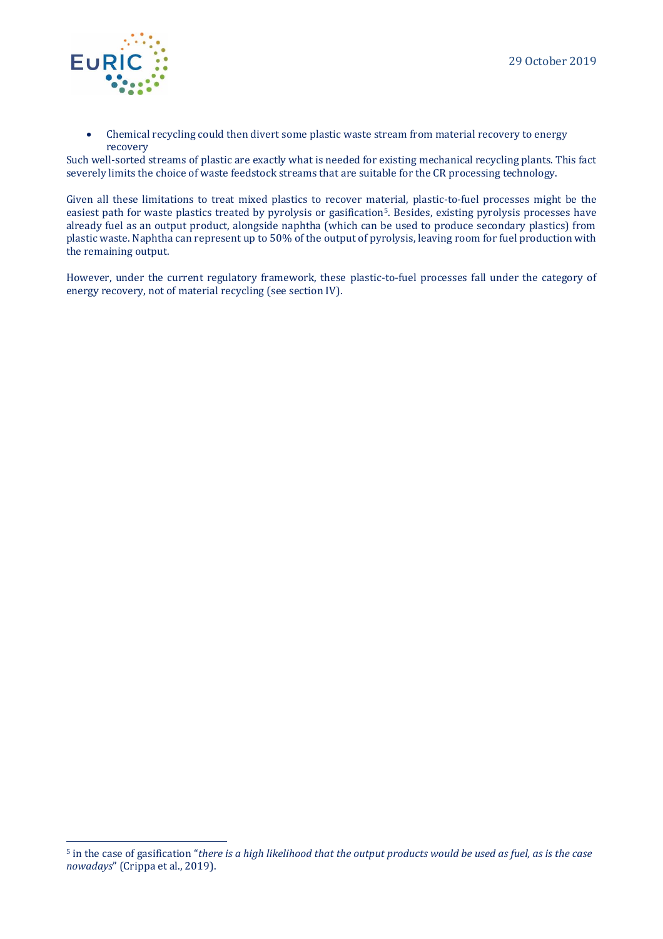

• Chemical recycling could then divert some plastic waste stream from material recovery to energy recovery

Such well-sorted streams of plastic are exactly what is needed for existing mechanical recycling plants. This fact severely limits the choice of waste feedstock streams that are suitable for the CR processing technology.

Given all these limitations to treat mixed plastics to recover material, plastic-to-fuel processes might be the easiest path for waste plastics treated by pyrolysis or gasification<sup>5</sup>. Besides, existing pyrolysis processes have already fuel as an output product, alongside naphtha (which can be used to produce secondary plastics) from plastic waste. Naphtha can represent up to 50% of the output of pyrolysis, leaving room for fuel production with the remaining output.

However, under the current regulatory framework, these plastic-to-fuel processes fall under the category of energy recovery, not of material recycling (see section IV).

<sup>5</sup> in the case of gasification "*there is a high likelihood that the output products would be used as fuel, as is the case nowadays*" (Crippa et al., 2019).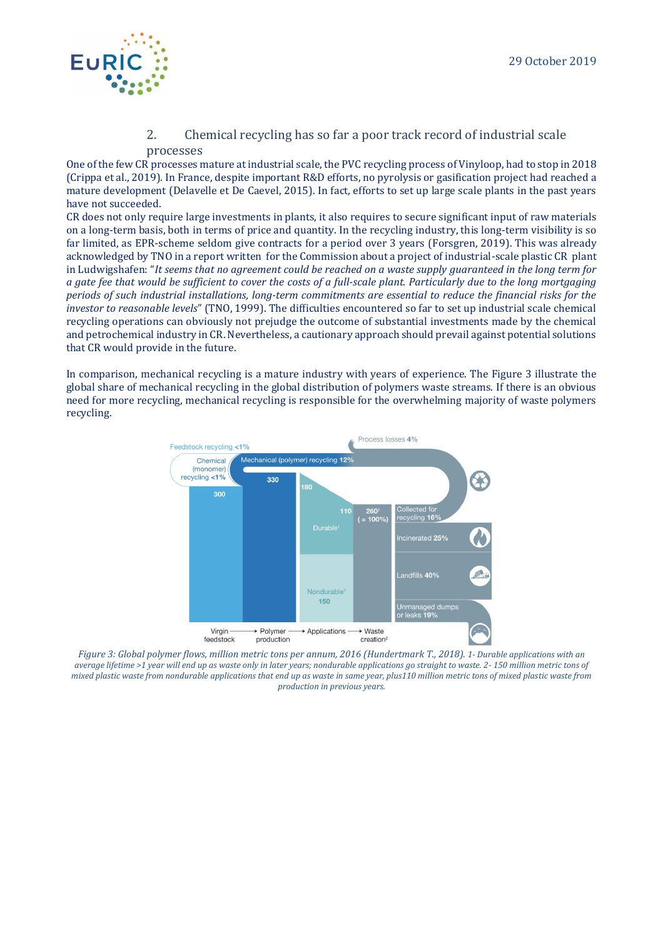

#### 2. Chemical recycling has so far a poor track record of industrial scale processes

One of the few CR processes mature at industrial scale, the PVC recycling process of Vinyloop, had to stop in 2018 (Crippa et al., 2019). In France, despite important R&D efforts, no pyrolysis or gasification project had reached a mature development (Delavelle et De Caevel, 2015). In fact, efforts to set up large scale plants in the past years have not succeeded.

CR does not only require large investments in plants, it also requires to secure significant input of raw materials on a long-term basis, both in terms of price and quantity. In the recycling industry, this long-term visibility is so far limited, as EPR-scheme seldom give contracts for a period over 3 years (Forsgren, 2019). This was already acknowledged by TNO in a report written for the Commission about a project of industrial-scale plastic CR plant in Ludwigshafen: "*It seems that no agreement could be reached on a waste supply guaranteed in the long term for a gate fee that would be sufficient to cover the costs of a full-scale plant. Particularly due to the long mortgaging periods of such industrial installations, long-term commitments are essential to reduce the financial risks for the investor to reasonable levels*" (TNO, 1999). The difficulties encountered so far to set up industrial scale chemical recycling operations can obviously not prejudge the outcome of substantial investments made by the chemical and petrochemical industry in CR. Nevertheless, a cautionary approach should prevail against potential solutions that CR would provide in the future.

In comparison, mechanical recycling is a mature industry with years of experience. The [Figure 3](#page-6-0) illustrate the global share of mechanical recycling in the global distribution of polymers waste streams. If there is an obvious need for more recycling, mechanical recycling is responsible for the overwhelming majority of waste polymers recycling.



<span id="page-6-0"></span>*Figure 3: Global polymer flows, million metric tons per annum, 2016 (Hundertmark T., 2018). 1- Durable applications with an average lifetime >1 year will end up as waste only in later years; nondurable applications go straight to waste. 2- 150 million metric tons of mixed plastic waste from nondurable applications that end up as waste in same year, plus110 million metric tons of mixed plastic waste from production in previous years.*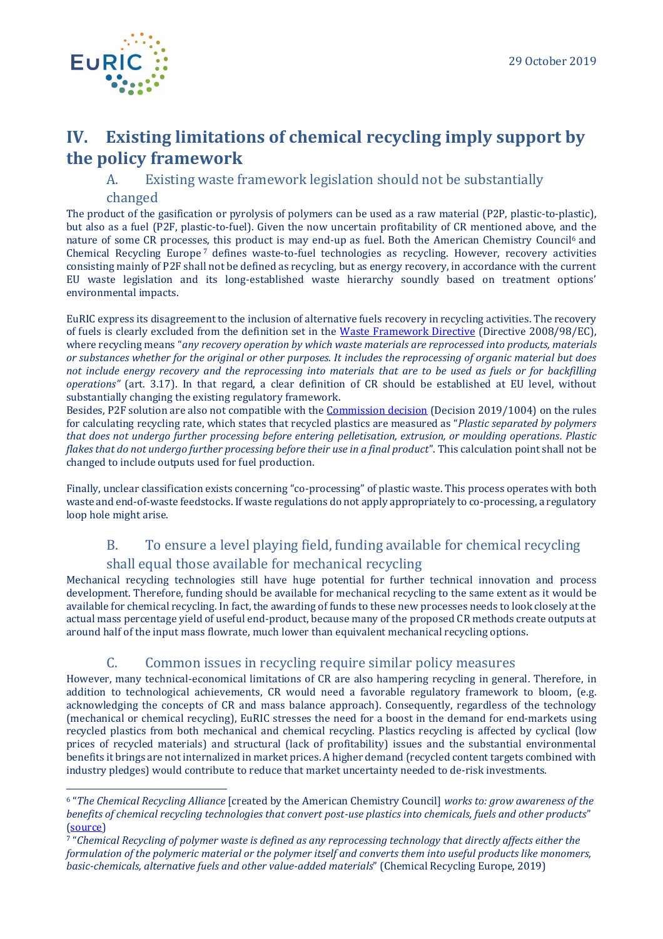# **IV. Existing limitations of chemical recycling imply support by the policy framework**

A. Existing waste framework legislation should not be substantially changed

The product of the gasification or pyrolysis of polymers can be used as a raw material (P2P, plastic-to-plastic), but also as a fuel (P2F, plastic-to-fuel). Given the now uncertain profitability of CR mentioned above, and the nature of some CR processes, this product is may end-up as fuel. Both the American Chemistry Council<sup>6</sup> and Chemical Recycling Europe<sup>7</sup> defines waste-to-fuel technologies as recycling. However, recovery activities consisting mainly of P2F shall not be defined as recycling, but as energy recovery, in accordance with the current EU waste legislation and its long-established waste hierarchy soundly based on treatment options' environmental impacts.

EuRIC express its disagreement to the inclusion of alternative fuels recovery in recycling activities. The recovery of fuels is clearly excluded from the definition set in the [Waste Framework Directive](https://eur-lex.europa.eu/legal-content/EN/TXT/PDF/?uri=CELEX:32008L0098&from=EN) (Directive 2008/98/EC), where recycling means "*any recovery operation by which waste materials are reprocessed into products, materials or substances whether for the original or other purposes. It includes the reprocessing of organic material but does not include energy recovery and the reprocessing into materials that are to be used as fuels or for backfilling operations"* (art. 3.17). In that regard, a clear definition of CR should be established at EU level, without substantially changing the existing regulatory framework.

Besides, P2F solution are also not compatible with the [Commission decision](https://eur-lex.europa.eu/legal-content/EN/TXT/PDF/?uri=CELEX:32019D1004&from=EN) (Decision 2019/1004) on the rules for calculating recycling rate, which states that recycled plastics are measured as "*Plastic separated by polymers that does not undergo further processing before entering pelletisation, extrusion, or moulding operations. Plastic flakes that do not undergo further processing before their use in a final product*". This calculation point shall not be changed to include outputs used for fuel production.

Finally, unclear classification exists concerning "co-processing" of plastic waste. This process operates with both waste and end-of-waste feedstocks. If waste regulations do not apply appropriately to co-processing, a regulatory loop hole might arise.

# B. To ensure a level playing field, funding available for chemical recycling

shall equal those available for mechanical recycling

Mechanical recycling technologies still have huge potential for further technical innovation and process development. Therefore, funding should be available for mechanical recycling to the same extent as it would be available for chemical recycling. In fact, the awarding of funds to these new processes needs to look closely at the actual mass percentage yield of useful end-product, because many of the proposed CR methods create outputs at around half of the input mass flowrate, much lower than equivalent mechanical recycling options.

### C. Common issues in recycling require similar policy measures

However, many technical-economical limitations of CR are also hampering recycling in general. Therefore, in addition to technological achievements, CR would need a favorable regulatory framework to bloom, (e.g. acknowledging the concepts of CR and mass balance approach). Consequently, regardless of the technology (mechanical or chemical recycling), EuRIC stresses the need for a boost in the demand for end-markets using recycled plastics from both mechanical and chemical recycling. Plastics recycling is affected by cyclical (low prices of recycled materials) and structural (lack of profitability) issues and the substantial environmental benefits it brings are not internalized in market prices. A higher demand (recycled content targets combined with industry pledges) would contribute to reduce that market uncertainty needed to de-risk investments.

<sup>6</sup> "*The Chemical Recycling Alliance* [created by the American Chemistry Council] *works to: grow awareness of the benefits of chemical recycling technologies that convert post-use plastics into chemicals, fuels and other products*" [\(source\)](https://plastics.americanchemistry.com/Chemical-Recycling-Alliance.html)

<sup>7</sup> "*Chemical Recycling of polymer waste is defined as any reprocessing technology that directly affects either the formulation of the polymeric material or the polymer itself and converts them into useful products like monomers, basic-chemicals, alternative fuels and other value-added materials*" (Chemical Recycling Europe, 2019)